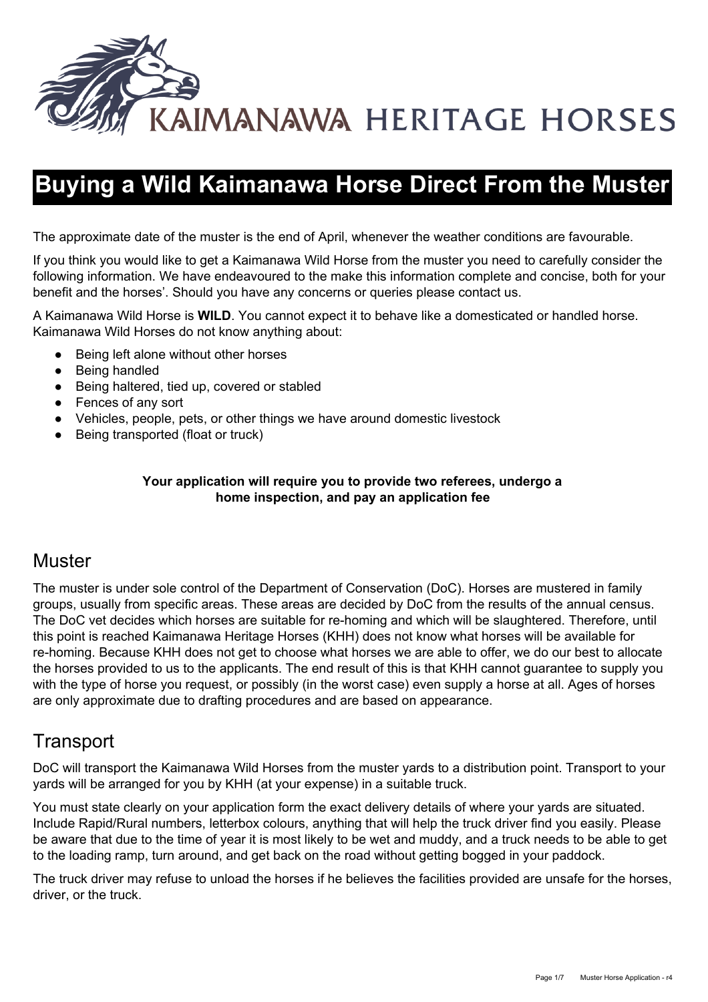

# **Buying a Wild Kaimanawa Horse Direct From the Muster**

The approximate date of the muster is the end of April, whenever the weather conditions are favourable.

If you think you would like to get a Kaimanawa Wild Horse from the muster you need to carefully consider the following information. We have endeavoured to the make this information complete and concise, both for your benefit and the horses'. Should you have any concerns or queries please contact us.

A Kaimanawa Wild Horse is **WILD**. You cannot expect it to behave like a domesticated or handled horse. Kaimanawa Wild Horses do not know anything about:

- Being left alone without other horses
- Being handled
- Being haltered, tied up, covered or stabled
- Fences of any sort
- Vehicles, people, pets, or other things we have around domestic livestock
- Being transported (float or truck)

#### **Your application will require you to provide two referees, undergo a home inspection, and pay an application fee**

### **Muster**

The muster is under sole control of the Department of Conservation (DoC). Horses are mustered in family groups, usually from specific areas. These areas are decided by DoC from the results of the annual census. The DoC vet decides which horses are suitable for re-homing and which will be slaughtered. Therefore, until this point is reached Kaimanawa Heritage Horses (KHH) does not know what horses will be available for re-homing. Because KHH does not get to choose what horses we are able to offer, we do our best to allocate the horses provided to us to the applicants. The end result of this is that KHH cannot guarantee to supply you with the type of horse you request, or possibly (in the worst case) even supply a horse at all. Ages of horses are only approximate due to drafting procedures and are based on appearance.

## **Transport**

DoC will transport the Kaimanawa Wild Horses from the muster yards to a distribution point. Transport to your yards will be arranged for you by KHH (at your expense) in a suitable truck.

You must state clearly on your application form the exact delivery details of where your yards are situated. Include Rapid/Rural numbers, letterbox colours, anything that will help the truck driver find you easily. Please be aware that due to the time of year it is most likely to be wet and muddy, and a truck needs to be able to get to the loading ramp, turn around, and get back on the road without getting bogged in your paddock.

The truck driver may refuse to unload the horses if he believes the facilities provided are unsafe for the horses, driver, or the truck.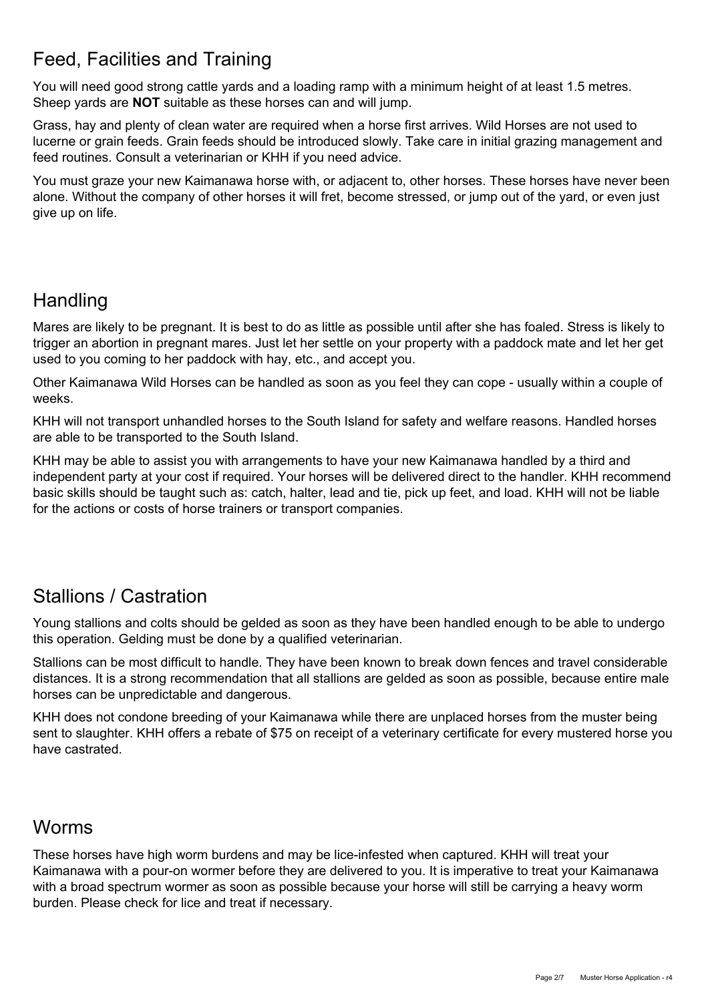## Feed, Facilities and Training

You will need good strong cattle yards and a loading ramp with a minimum height of at least 1.5 metres. Sheep yards are **NOT**suitable as these horses can and will jump.

Grass, hay and plenty of clean water are required when a horse first arrives. Wild Horses are not used to lucerne or grain feeds. Grain feeds should be introduced slowly. Take care in initial grazing management and feed routines. Consult a veterinarian or KHH if you need advice.

You must graze your new Kaimanawa horse with, or adjacent to, other horses. These horses have never been alone. Without the company of other horses it will fret, become stressed, or jump out of the yard, or even just give up on life.

## **Handling**

Mares are likely to be pregnant. It is best to do as little as possible until after she has foaled. Stress is likely to trigger an abortion in pregnant mares. Just let her settle on your property with a paddock mate and let her get used to you coming to her paddock with hay, etc., and accept you.

Other Kaimanawa Wild Horses can be handled as soon as you feel they can cope - usually within a couple of weeks.

KHH will not transport unhandled horses to the South Island for safety and welfare reasons. Handled horses are able to be transported to the South Island.

KHH may be able to assist you with arrangements to have your new Kaimanawa handled by a third and independent party at your cost if required. Your horses will be delivered direct to the handler. KHH recommend basic skills should be taught such as: catch, halter, lead and tie, pick up feet, and load. KHH will not be liable for the actions or costs of horse trainers or transport companies.

## Stallions / Castration

Young stallions and colts should be gelded as soon as they have been handled enough to be able to undergo this operation. Gelding must be done by a qualified veterinarian.

Stallions can be most difficult to handle. They have been known to break down fences and travel considerable distances. It is a strong recommendation that all stallions are gelded as soon as possible, because entire male horses can be unpredictable and dangerous.

KHH does not condone breeding of your Kaimanawa while there are unplaced horses from the muster being sent to slaughter. KHH offers a rebate of \$75 on receipt of a veterinary certificate for every mustered horse you have castrated.

## Worms

These horses have high worm burdens and may be lice-infested when captured. KHH will treat your Kaimanawa with a pour-on wormer before they are delivered to you. It is imperative to treat your Kaimanawa with a broad spectrum wormer as soon as possible because your horse will still be carrying a heavy worm burden. Please check for lice and treat if necessary.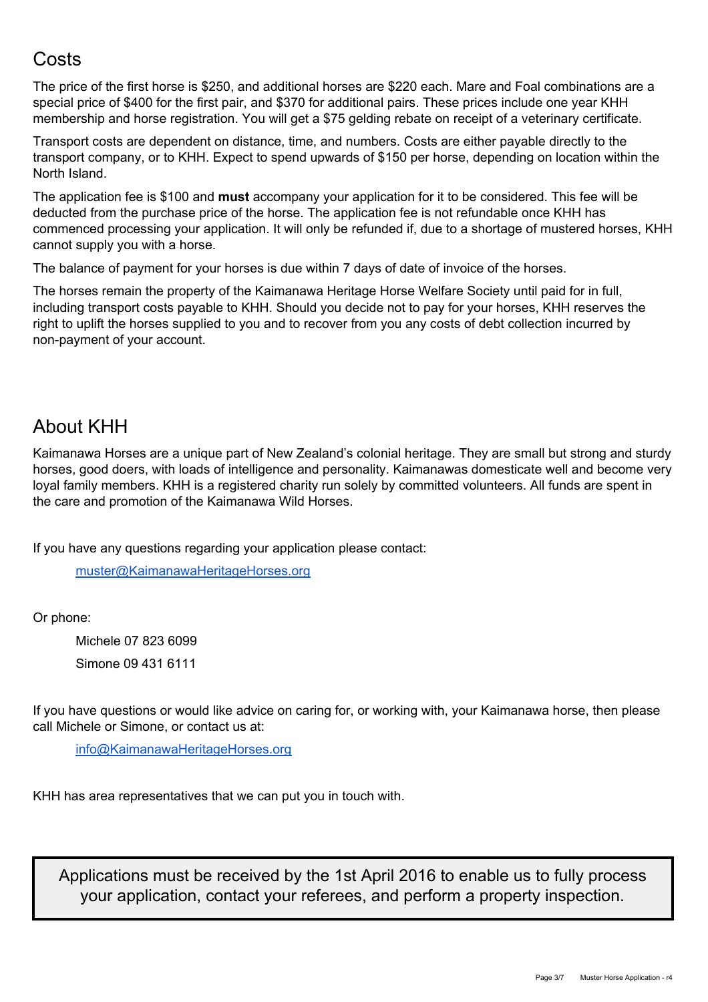## **Costs**

The price of the first horse is \$250, and additional horses are \$220 each. Mare and Foal combinations are a special price of \$400 for the first pair, and \$370 for additional pairs. These prices include one year KHH membership and horse registration. You will get a \$75 gelding rebate on receipt of a veterinary certificate.

Transport costs are dependent on distance, time, and numbers. Costs are either payable directly to the transport company, or to KHH. Expect to spend upwards of \$150 per horse, depending on location within the North Island.

The application fee is \$100 and **must** accompany your application for it to be considered. This fee will be deducted from the purchase price of the horse. The application fee is not refundable once KHH has commenced processing your application. It will only be refunded if, due to a shortage of mustered horses, KHH cannot supply you with a horse.

The balance of payment for your horses is due within 7 days of date of invoice of the horses.

The horses remain the property of the Kaimanawa Heritage Horse Welfare Society until paid for in full, including transport costs payable to KHH. Should you decide not to pay for your horses, KHH reserves the right to uplift the horses supplied to you and to recover from you any costs of debt collection incurred by non-payment of your account.

## About KHH

Kaimanawa Horses are a unique part of New Zealand's colonial heritage. They are small but strong and sturdy horses, good doers, with loads of intelligence and personality. Kaimanawas domesticate well and become very loyal family members. KHH is a registered charity run solely by committed volunteers. All funds are spent in the care and promotion of the Kaimanawa Wild Horses.

If you have any questions regarding your application please contact:

[muster@KaimanawaHeritageHorses.org](mailto:muster@KaimanawaHeritageHorses.org)

Or phone:

Michele 07 823 6099 Simone 09 431 6111

If you have questions or would like advice on caring for, or working with, your Kaimanawa horse, then please call Michele or Simone, or contact us at:

[info@KaimanawaHeritageHorses.org](mailto:info@KaimanawaHeritageHorses.org)

KHH has area representatives that we can put you in touch with.

Applications must be received by the 1st April 2016 to enable us to fully process your application, contact your referees, and perform a property inspection.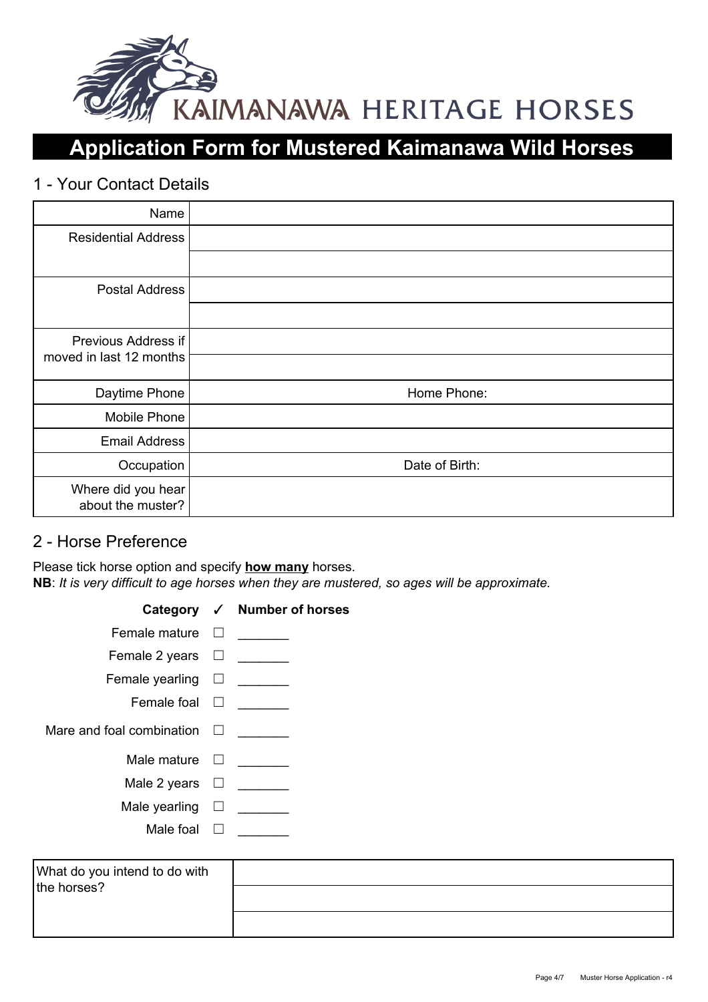

# **Application Form for Mustered Kaimanawa Wild Horses**

### 1 - Your Contact Details

| Name                                    |                |
|-----------------------------------------|----------------|
| <b>Residential Address</b>              |                |
|                                         |                |
| <b>Postal Address</b>                   |                |
|                                         |                |
| Previous Address if                     |                |
| moved in last 12 months                 |                |
| Daytime Phone                           | Home Phone:    |
| Mobile Phone                            |                |
| <b>Email Address</b>                    |                |
| Occupation                              | Date of Birth: |
| Where did you hear<br>about the muster? |                |

### 2 - Horse Preference

Please tick horse option and specify **how many**horses. **NB**: *It is very difficult to age horses when they are mustered, so ages will be approximate.*

|                                  |         | Category √ Number of horses |
|----------------------------------|---------|-----------------------------|
| Female mature                    | $\perp$ |                             |
| Female 2 years $\Box$            |         |                             |
| Female yearling $\square$        |         |                             |
| Female foal $\Box$               |         |                             |
| Mare and foal combination $\Box$ |         |                             |
| Male mature $\square$            |         |                             |
| Male 2 years                     |         |                             |
| Male yearling                    |         |                             |
| Male foal                        |         |                             |

| What do you intend to do with |  |
|-------------------------------|--|
| the horses?                   |  |
|                               |  |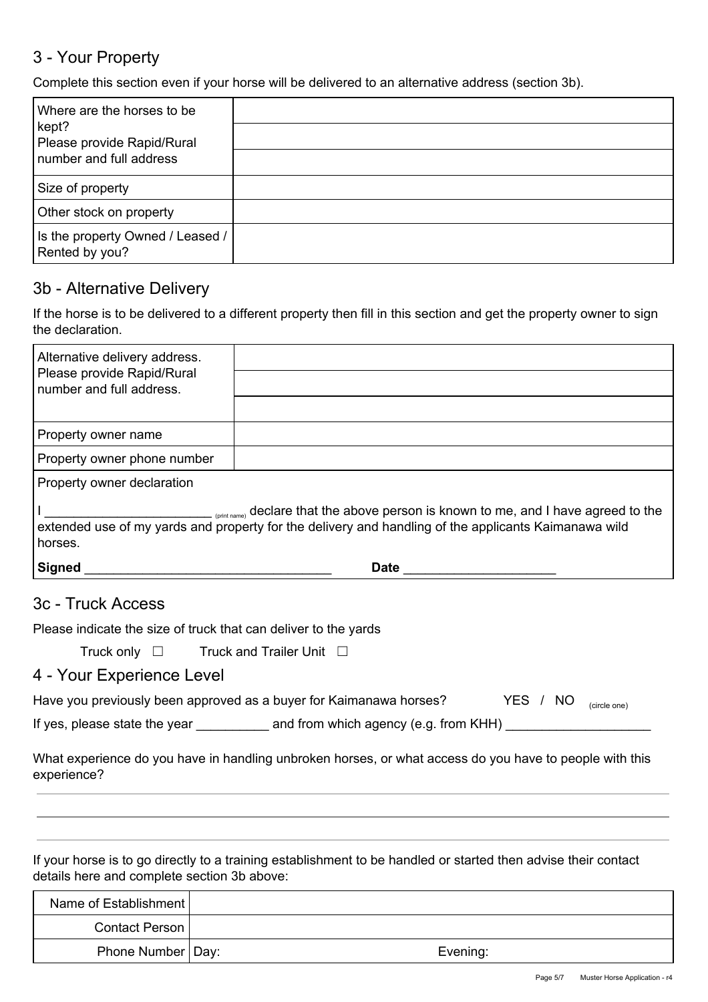## 3 - Your Property

Complete this section even if your horse will be delivered to an alternative address (section 3b).

| Where are the horses to be<br>kept?<br>Please provide Rapid/Rural<br>number and full address |  |
|----------------------------------------------------------------------------------------------|--|
| Size of property                                                                             |  |
| Other stock on property                                                                      |  |
| Is the property Owned / Leased /<br>Rented by you?                                           |  |

#### 3b - Alternative Delivery

If the horse is to be delivered to a different property then fill in this section and get the property owner to sign the declaration.

| Alternative delivery address.<br>Please provide Rapid/Rural<br>number and full address.                                                                                                                |             |  |  |
|--------------------------------------------------------------------------------------------------------------------------------------------------------------------------------------------------------|-------------|--|--|
|                                                                                                                                                                                                        |             |  |  |
| Property owner name                                                                                                                                                                                    |             |  |  |
| Property owner phone number                                                                                                                                                                            |             |  |  |
| Property owner declaration                                                                                                                                                                             |             |  |  |
| (print name) declare that the above person is known to me, and I have agreed to the<br>extended use of my yards and property for the delivery and handling of the applicants Kaimanawa wild<br>horses. |             |  |  |
| <b>Signed</b>                                                                                                                                                                                          | <b>Date</b> |  |  |

#### 3c - Truck Access

Please indicate the size of truck that can deliver to the yards

Truck only □ Truck and Trailer Unit □

### 4 - Your Experience Level

| Have you previously been approved as a buyer for Kaimanawa horses? |                                       | YES / NO |  | (circle one) |
|--------------------------------------------------------------------|---------------------------------------|----------|--|--------------|
| If yes, please state the year                                      | and from which agency (e.g. from KHH) |          |  |              |

What experience do you have in handling unbroken horses, or what access do you have to people with this experience?

If your horse is to go directly to a training establishment to be handled or started then advise their contact details here and complete section 3b above:

| Name of Establishment |          |
|-----------------------|----------|
| Contact Person        |          |
| Phone Number   Day:   | Evening: |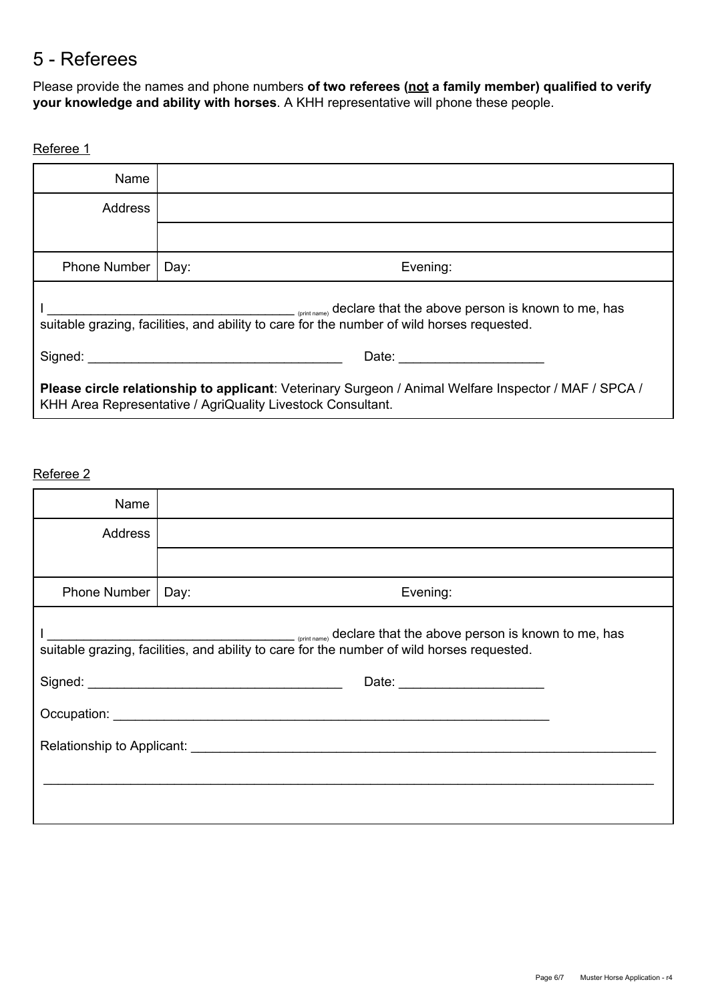## 5 Referees

Please provide the names and phone numbers **of two referees (nota family member) qualified to verify your knowledge and ability with horses**.A KHH representative will phone these people.

#### Referee 1

| Name                                                                                                                                                                 |                  |  |  |  |
|----------------------------------------------------------------------------------------------------------------------------------------------------------------------|------------------|--|--|--|
| Address                                                                                                                                                              |                  |  |  |  |
|                                                                                                                                                                      |                  |  |  |  |
| <b>Phone Number</b>                                                                                                                                                  | Evening:<br>Day: |  |  |  |
| <sub>contrane</sub> declare that the above person is known to me, has<br>suitable grazing, facilities, and ability to care for the number of wild horses requested.  |                  |  |  |  |
| Signed:<br>Date: ___________________                                                                                                                                 |                  |  |  |  |
| Please circle relationship to applicant: Veterinary Surgeon / Animal Welfare Inspector / MAF / SPCA /<br>KHH Area Representative / AgriQuality Livestock Consultant. |                  |  |  |  |

#### Referee 2

| Name         |                                                                                                                                                                     |  |  |
|--------------|---------------------------------------------------------------------------------------------------------------------------------------------------------------------|--|--|
| Address      |                                                                                                                                                                     |  |  |
|              |                                                                                                                                                                     |  |  |
| Phone Number | Evening:<br>Day:                                                                                                                                                    |  |  |
|              | <b>CONFERGATE:</b> Continuum and the above person is known to me, has<br>suitable grazing, facilities, and ability to care for the number of wild horses requested. |  |  |
|              |                                                                                                                                                                     |  |  |
|              |                                                                                                                                                                     |  |  |
|              |                                                                                                                                                                     |  |  |
|              |                                                                                                                                                                     |  |  |
|              |                                                                                                                                                                     |  |  |